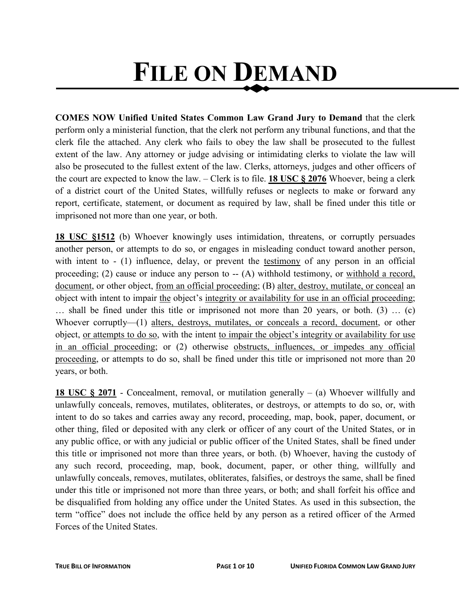# **FILE ON DEMAND**

**COMES NOW Unified United States Common Law Grand Jury to Demand** that the clerk perform only a ministerial function, that the clerk not perform any tribunal functions, and that the clerk file the attached. Any clerk who fails to obey the law shall be prosecuted to the fullest extent of the law. Any attorney or judge advising or intimidating clerks to violate the law will also be prosecuted to the fullest extent of the law. Clerks, attorneys, judges and other officers of the court are expected to know the law. – Clerk is to file. **18 USC § 2076** Whoever, being a clerk of a district court of the United States, willfully refuses or neglects to make or forward any report, certificate, statement, or document as required by law, shall be fined under this title or imprisoned not more than one year, or both.

**18 USC §1512** (b) Whoever knowingly uses intimidation, threatens, or corruptly persuades another person, or attempts to do so, or engages in misleading conduct toward another person, with intent to - (1) influence, delay, or prevent the testimony of any person in an official proceeding; (2) cause or induce any person to  $-$  (A) withhold testimony, or withhold a record, document, or other object, from an official proceeding; (B) alter, destroy, mutilate, or conceal an object with intent to impair the object's integrity or availability for use in an official proceeding; … shall be fined under this title or imprisoned not more than 20 years, or both. (3) … (c) Whoever corruptly—(1) alters, destroys, mutilates, or conceals a record, document, or other object, or attempts to do so, with the intent to impair the object's integrity or availability for use in an official proceeding; or (2) otherwise obstructs, influences, or impedes any official proceeding, or attempts to do so, shall be fined under this title or imprisoned not more than 20 years, or both.

**18 USC § 2071** - Concealment, removal, or mutilation generally – (a) Whoever willfully and unlawfully conceals, removes, mutilates, obliterates, or destroys, or attempts to do so, or, with intent to do so takes and carries away any record, proceeding, map, book, paper, document, or other thing, filed or deposited with any clerk or officer of any court of the United States, or in any public office, or with any judicial or public officer of the United States, shall be fined under this title or imprisoned not more than three years, or both. (b) Whoever, having the custody of any such record, proceeding, map, book, document, paper, or other thing, willfully and unlawfully conceals, removes, mutilates, obliterates, falsifies, or destroys the same, shall be fined under this title or imprisoned not more than three years, or both; and shall forfeit his office and be disqualified from holding any office under the United States. As used in this subsection, the term "office" does not include the office held by any person as a retired officer of the Armed Forces of the United States.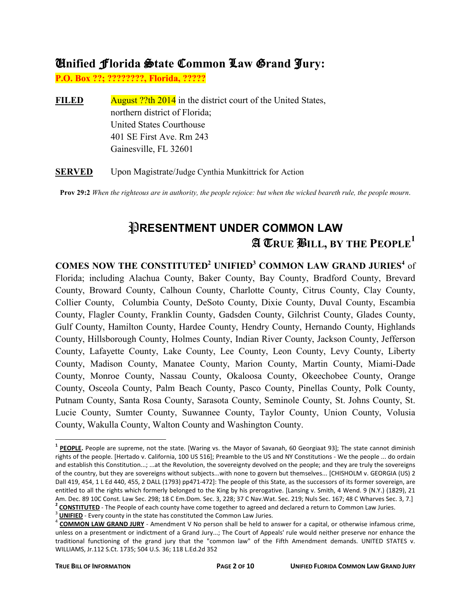#### U**nified** F**lorida** S**tate** C**ommon** L**aw** G**rand** J**ury:**

**P.O. Box ??; ????????, Florida, ?????** 

**FILED** August ??th 2014 in the district court of the United States, northern district of Florida; United States Courthouse 401 SE First Ave. Rm 243 Gainesville, FL 32601

**SERVED** Upon Magistrate/Judge Cynthia Munkittrick for Action

**Prov 29:2** *When the righteous are in authority, the people rejoice: but when the wicked beareth rule, the people mourn*.

## *PRESENTMENT UNDER COMMON LAW* A T**RUE** B**ILL, BY THE PEOPLE<sup>1</sup>**

**COMES NOW THE CONSTITUTED<sup>2</sup> UNIFIED<sup>3</sup> COMMON LAW GRAND JURIES<sup>4</sup>** of Florida; including Alachua County, Baker County, Bay County, Bradford County, Brevard County, Broward County, Calhoun County, Charlotte County, Citrus County, Clay County, Collier County, Columbia County, DeSoto County, Dixie County, Duval County, Escambia County, Flagler County, Franklin County, Gadsden County, Gilchrist County, Glades County, Gulf County, Hamilton County, Hardee County, Hendry County, Hernando County, Highlands County, Hillsborough County, Holmes County, Indian River County, Jackson County, Jefferson County, Lafayette County, Lake County, Lee County, Leon County, Levy County, Liberty County, Madison County, Manatee County, Marion County, Martin County, Miami-Dade County, Monroe County, Nassau County, Okaloosa County, Okeechobee County, Orange County, Osceola County, Palm Beach County, Pasco County, Pinellas County, Polk County, Putnam County, Santa Rosa County, Sarasota County, Seminole County, St. Johns County, St. Lucie County, Sumter County, Suwannee County, Taylor County, Union County, Volusia County, Wakulla County, Walton County and Washington County.

3 **UNIFIED** - Every county in the state has constituted the Common Law Juries.

 $\overline{a}$ <sup>1</sup> PEOPLE. People are supreme, not the state. [Waring vs. the Mayor of Savanah, 60 Georgiaat 93]; The state cannot diminish rights of the people. [Hertado v. California, 100 US 516]; Preamble to the US and NY Constitutions - We the people ... do ordain and establish this Constitution...; ...at the Revolution, the sovereignty devolved on the people; and they are truly the sovereigns of the country, but they are sovereigns without subjects...with none to govern but themselves... [CHISHOLM v. GEORGIA (US) 2 Dall 419, 454, 1 L Ed 440, 455, 2 DALL (1793) pp471-472]: The people of this State, as the successors of its former sovereign, are entitled to all the rights which formerly belonged to the King by his prerogative. [Lansing v. Smith, 4 Wend. 9 (N.Y.) (1829), 21 Am. Dec. 89 10C Const. Law Sec. 298; 18 C Em.Dom. Sec. 3, 228; 37 C Nav.Wat. Sec. 219; Nuls Sec. 167; 48 C Wharves Sec. 3, 7.] **2 CONSTITUTED** - The People of each county have come together to agreed and declared a return to Common Law Juries.

<sup>4</sup> **COMMON LAW GRAND JURY** - Amendment V No person shall be held to answer for a capital, or otherwise infamous crime, unless on a presentment or indictment of a Grand Jury...; The Court of Appeals' rule would neither preserve nor enhance the traditional functioning of the grand jury that the "common law" of the Fifth Amendment demands. UNITED STATES v. WILLIAMS, Jr.112 S.Ct. 1735; 504 U.S. 36; 118 L.Ed.2d 352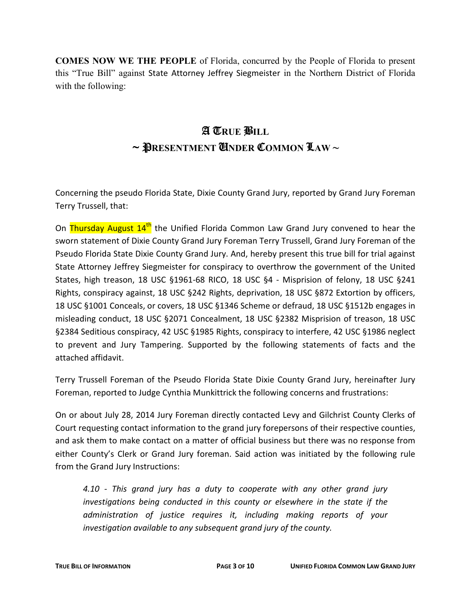**COMES NOW WE THE PEOPLE** of Florida, concurred by the People of Florida to present this "True Bill" against State Attorney Jeffrey Siegmeister in the Northern District of Florida with the following:

### A T**RUE** B**ILL** ~ P**RESENTMENT** U**NDER** C**OMMON** L**AW ~**

Concerning the pseudo Florida State, Dixie County Grand Jury, reported by Grand Jury Foreman Terry Trussell, that:

On Thursday August 14<sup>th</sup> the Unified Florida Common Law Grand Jury convened to hear the sworn statement of Dixie County Grand Jury Foreman Terry Trussell, Grand Jury Foreman of the Pseudo Florida State Dixie County Grand Jury. And, hereby present this true bill for trial against State Attorney Jeffrey Siegmeister for conspiracy to overthrow the government of the United States, high treason, 18 USC §1961-68 RICO, 18 USC §4 - Misprision of felony, 18 USC §241 Rights, conspiracy against, 18 USC §242 Rights, deprivation, 18 USC §872 Extortion by officers, 18 USC §1001 Conceals, or covers, 18 USC §1346 Scheme or defraud, 18 USC §1512b engages in misleading conduct, 18 USC §2071 Concealment, 18 USC §2382 Misprision of treason, 18 USC §2384 Seditious conspiracy, 42 USC §1985 Rights, conspiracy to interfere, 42 USC §1986 neglect to prevent and Jury Tampering. Supported by the following statements of facts and the attached affidavit.

Terry Trussell Foreman of the Pseudo Florida State Dixie County Grand Jury, hereinafter Jury Foreman, reported to Judge Cynthia Munkittrick the following concerns and frustrations:

On or about July 28, 2014 Jury Foreman directly contacted Levy and Gilchrist County Clerks of Court requesting contact information to the grand jury forepersons of their respective counties, and ask them to make contact on a matter of official business but there was no response from either County's Clerk or Grand Jury foreman. Said action was initiated by the following rule from the Grand Jury Instructions:

*4.10 - This grand jury has a duty to cooperate with any other grand jury investigations being conducted in this county or elsewhere in the state if the administration of justice requires it, including making reports of your investigation available to any subsequent grand jury of the county.*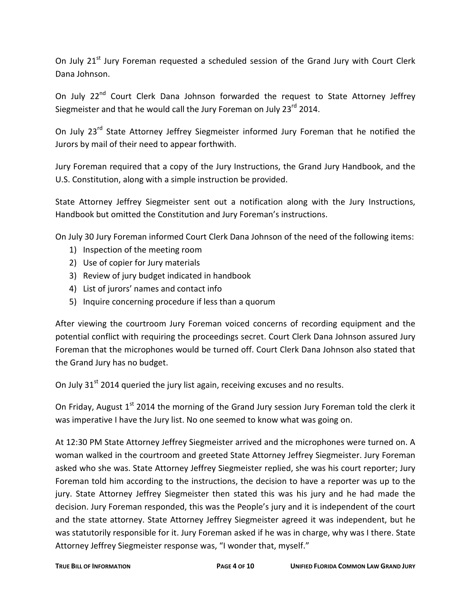On July 21<sup>st</sup> Jury Foreman requested a scheduled session of the Grand Jury with Court Clerk Dana Johnson.

On July 22<sup>nd</sup> Court Clerk Dana Johnson forwarded the request to State Attorney Jeffrey Siegmeister and that he would call the Jury Foreman on July 23<sup>rd</sup> 2014.

On July 23<sup>rd</sup> State Attorney Jeffrey Siegmeister informed Jury Foreman that he notified the Jurors by mail of their need to appear forthwith.

Jury Foreman required that a copy of the Jury Instructions, the Grand Jury Handbook, and the U.S. Constitution, along with a simple instruction be provided.

State Attorney Jeffrey Siegmeister sent out a notification along with the Jury Instructions, Handbook but omitted the Constitution and Jury Foreman's instructions.

On July 30 Jury Foreman informed Court Clerk Dana Johnson of the need of the following items:

- 1) Inspection of the meeting room
- 2) Use of copier for Jury materials
- 3) Review of jury budget indicated in handbook
- 4) List of jurors' names and contact info
- 5) Inquire concerning procedure if less than a quorum

After viewing the courtroom Jury Foreman voiced concerns of recording equipment and the potential conflict with requiring the proceedings secret. Court Clerk Dana Johnson assured Jury Foreman that the microphones would be turned off. Court Clerk Dana Johnson also stated that the Grand Jury has no budget.

On July  $31<sup>st</sup>$  2014 queried the jury list again, receiving excuses and no results.

On Friday, August 1<sup>st</sup> 2014 the morning of the Grand Jury session Jury Foreman told the clerk it was imperative I have the Jury list. No one seemed to know what was going on.

At 12:30 PM State Attorney Jeffrey Siegmeister arrived and the microphones were turned on. A woman walked in the courtroom and greeted State Attorney Jeffrey Siegmeister. Jury Foreman asked who she was. State Attorney Jeffrey Siegmeister replied, she was his court reporter; Jury Foreman told him according to the instructions, the decision to have a reporter was up to the jury. State Attorney Jeffrey Siegmeister then stated this was his jury and he had made the decision. Jury Foreman responded, this was the People's jury and it is independent of the court and the state attorney. State Attorney Jeffrey Siegmeister agreed it was independent, but he was statutorily responsible for it. Jury Foreman asked if he was in charge, why was I there. State Attorney Jeffrey Siegmeister response was, "I wonder that, myself."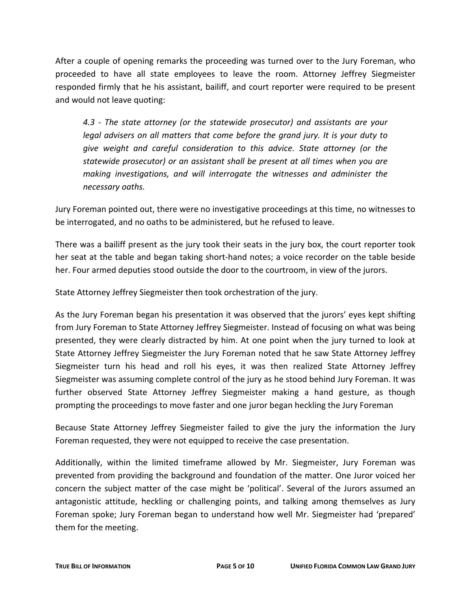After a couple of opening remarks the proceeding was turned over to the Jury Foreman, who proceeded to have all state employees to leave the room. Attorney Jeffrey Siegmeister responded firmly that he his assistant, bailiff, and court reporter were required to be present and would not leave quoting:

*4.3 - The state attorney (or the statewide prosecutor) and assistants are your legal advisers on all matters that come before the grand jury. It is your duty to give weight and careful consideration to this advice. State attorney (or the statewide prosecutor) or an assistant shall be present at all times when you are making investigations, and will interrogate the witnesses and administer the necessary oaths.*

Jury Foreman pointed out, there were no investigative proceedings at this time, no witnesses to be interrogated, and no oaths to be administered, but he refused to leave.

There was a bailiff present as the jury took their seats in the jury box, the court reporter took her seat at the table and began taking short-hand notes; a voice recorder on the table beside her. Four armed deputies stood outside the door to the courtroom, in view of the jurors.

State Attorney Jeffrey Siegmeister then took orchestration of the jury.

As the Jury Foreman began his presentation it was observed that the jurors' eyes kept shifting from Jury Foreman to State Attorney Jeffrey Siegmeister. Instead of focusing on what was being presented, they were clearly distracted by him. At one point when the jury turned to look at State Attorney Jeffrey Siegmeister the Jury Foreman noted that he saw State Attorney Jeffrey Siegmeister turn his head and roll his eyes, it was then realized State Attorney Jeffrey Siegmeister was assuming complete control of the jury as he stood behind Jury Foreman. It was further observed State Attorney Jeffrey Siegmeister making a hand gesture, as though prompting the proceedings to move faster and one juror began heckling the Jury Foreman

Because State Attorney Jeffrey Siegmeister failed to give the jury the information the Jury Foreman requested, they were not equipped to receive the case presentation.

Additionally, within the limited timeframe allowed by Mr. Siegmeister, Jury Foreman was prevented from providing the background and foundation of the matter. One Juror voiced her concern the subject matter of the case might be 'political'. Several of the Jurors assumed an antagonistic attitude, heckling or challenging points, and talking among themselves as Jury Foreman spoke; Jury Foreman began to understand how well Mr. Siegmeister had 'prepared' them for the meeting.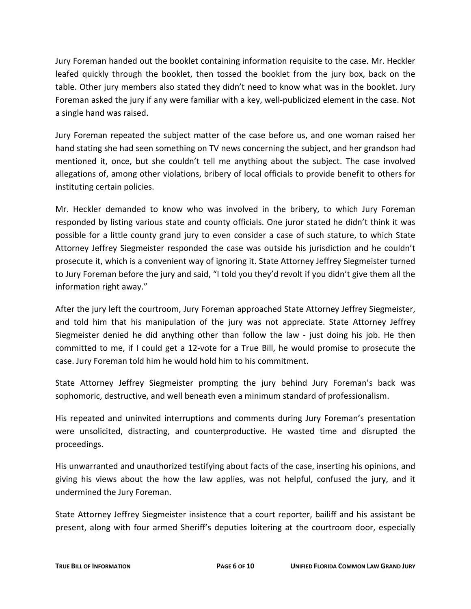Jury Foreman handed out the booklet containing information requisite to the case. Mr. Heckler leafed quickly through the booklet, then tossed the booklet from the jury box, back on the table. Other jury members also stated they didn't need to know what was in the booklet. Jury Foreman asked the jury if any were familiar with a key, well-publicized element in the case. Not a single hand was raised.

Jury Foreman repeated the subject matter of the case before us, and one woman raised her hand stating she had seen something on TV news concerning the subject, and her grandson had mentioned it, once, but she couldn't tell me anything about the subject. The case involved allegations of, among other violations, bribery of local officials to provide benefit to others for instituting certain policies.

Mr. Heckler demanded to know who was involved in the bribery, to which Jury Foreman responded by listing various state and county officials. One juror stated he didn't think it was possible for a little county grand jury to even consider a case of such stature, to which State Attorney Jeffrey Siegmeister responded the case was outside his jurisdiction and he couldn't prosecute it, which is a convenient way of ignoring it. State Attorney Jeffrey Siegmeister turned to Jury Foreman before the jury and said, "I told you they'd revolt if you didn't give them all the information right away."

After the jury left the courtroom, Jury Foreman approached State Attorney Jeffrey Siegmeister, and told him that his manipulation of the jury was not appreciate. State Attorney Jeffrey Siegmeister denied he did anything other than follow the law - just doing his job. He then committed to me, if I could get a 12-vote for a True Bill, he would promise to prosecute the case. Jury Foreman told him he would hold him to his commitment.

State Attorney Jeffrey Siegmeister prompting the jury behind Jury Foreman's back was sophomoric, destructive, and well beneath even a minimum standard of professionalism.

His repeated and uninvited interruptions and comments during Jury Foreman's presentation were unsolicited, distracting, and counterproductive. He wasted time and disrupted the proceedings.

His unwarranted and unauthorized testifying about facts of the case, inserting his opinions, and giving his views about the how the law applies, was not helpful, confused the jury, and it undermined the Jury Foreman.

State Attorney Jeffrey Siegmeister insistence that a court reporter, bailiff and his assistant be present, along with four armed Sheriff's deputies loitering at the courtroom door, especially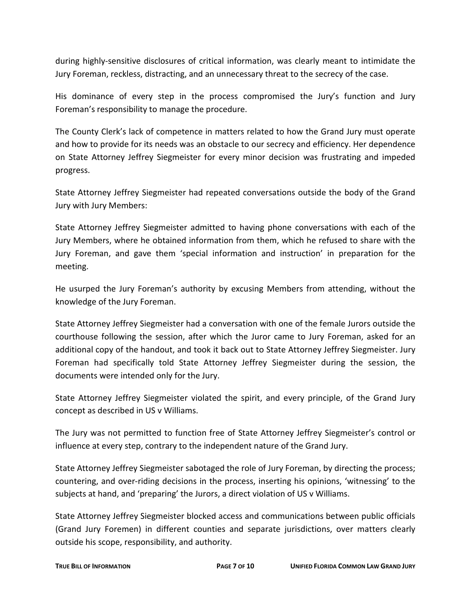during highly-sensitive disclosures of critical information, was clearly meant to intimidate the Jury Foreman, reckless, distracting, and an unnecessary threat to the secrecy of the case.

His dominance of every step in the process compromised the Jury's function and Jury Foreman's responsibility to manage the procedure.

The County Clerk's lack of competence in matters related to how the Grand Jury must operate and how to provide for its needs was an obstacle to our secrecy and efficiency. Her dependence on State Attorney Jeffrey Siegmeister for every minor decision was frustrating and impeded progress.

State Attorney Jeffrey Siegmeister had repeated conversations outside the body of the Grand Jury with Jury Members:

State Attorney Jeffrey Siegmeister admitted to having phone conversations with each of the Jury Members, where he obtained information from them, which he refused to share with the Jury Foreman, and gave them 'special information and instruction' in preparation for the meeting.

He usurped the Jury Foreman's authority by excusing Members from attending, without the knowledge of the Jury Foreman.

State Attorney Jeffrey Siegmeister had a conversation with one of the female Jurors outside the courthouse following the session, after which the Juror came to Jury Foreman, asked for an additional copy of the handout, and took it back out to State Attorney Jeffrey Siegmeister. Jury Foreman had specifically told State Attorney Jeffrey Siegmeister during the session, the documents were intended only for the Jury.

State Attorney Jeffrey Siegmeister violated the spirit, and every principle, of the Grand Jury concept as described in US v Williams.

The Jury was not permitted to function free of State Attorney Jeffrey Siegmeister's control or influence at every step, contrary to the independent nature of the Grand Jury.

State Attorney Jeffrey Siegmeister sabotaged the role of Jury Foreman, by directing the process; countering, and over-riding decisions in the process, inserting his opinions, 'witnessing' to the subjects at hand, and 'preparing' the Jurors, a direct violation of US v Williams.

State Attorney Jeffrey Siegmeister blocked access and communications between public officials (Grand Jury Foremen) in different counties and separate jurisdictions, over matters clearly outside his scope, responsibility, and authority.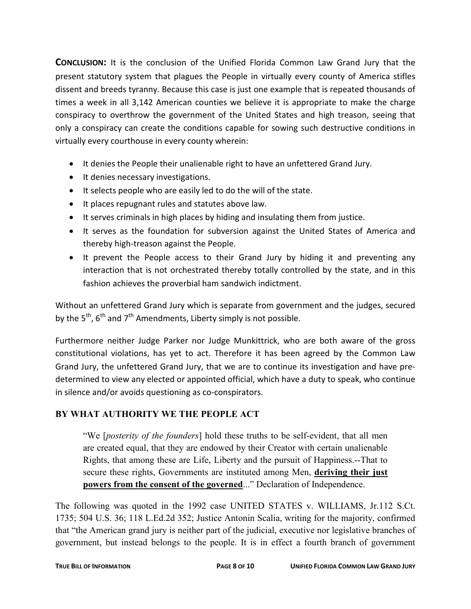**CONCLUSION:** It is the conclusion of the Unified Florida Common Law Grand Jury that the present statutory system that plagues the People in virtually every county of America stifles dissent and breeds tyranny. Because this case is just one example that is repeated thousands of times a week in all 3,142 American counties we believe it is appropriate to make the charge conspiracy to overthrow the government of the United States and high treason, seeing that only a conspiracy can create the conditions capable for sowing such destructive conditions in virtually every courthouse in every county wherein:

- It denies the People their unalienable right to have an unfettered Grand Jury.
- It denies necessary investigations.
- It selects people who are easily led to do the will of the state.
- It places repugnant rules and statutes above law.
- It serves criminals in high places by hiding and insulating them from justice.
- It serves as the foundation for subversion against the United States of America and thereby high-treason against the People.
- It prevent the People access to their Grand Jury by hiding it and preventing any interaction that is not orchestrated thereby totally controlled by the state, and in this fashion achieves the proverbial ham sandwich indictment.

Without an unfettered Grand Jury which is separate from government and the judges, secured by the  $5^{th}$ ,  $6^{th}$  and  $7^{th}$  Amendments, Liberty simply is not possible.

Furthermore neither Judge Parker nor Judge Munkittrick, who are both aware of the gross constitutional violations, has yet to act. Therefore it has been agreed by the Common Law Grand Jury, the unfettered Grand Jury, that we are to continue its investigation and have predetermined to view any elected or appointed official, which have a duty to speak, who continue in silence and/or avoids questioning as co-conspirators.

#### **BY WHAT AUTHORITY WE THE PEOPLE ACT**

"We [*posterity of the founders*] hold these truths to be self-evident, that all men are created equal, that they are endowed by their Creator with certain unalienable Rights, that among these are Life, Liberty and the pursuit of Happiness.--That to secure these rights, Governments are instituted among Men, **deriving their just powers from the consent of the governed**..." Declaration of Independence.

The following was quoted in the 1992 case UNITED STATES v. WILLIAMS, Jr.112 S.Ct. 1735; 504 U.S. 36; 118 L.Ed.2d 352; Justice Antonin Scalia, writing for the majority, confirmed that "the American grand jury is neither part of the judicial, executive nor legislative branches of government, but instead belongs to the people. It is in effect a fourth branch of government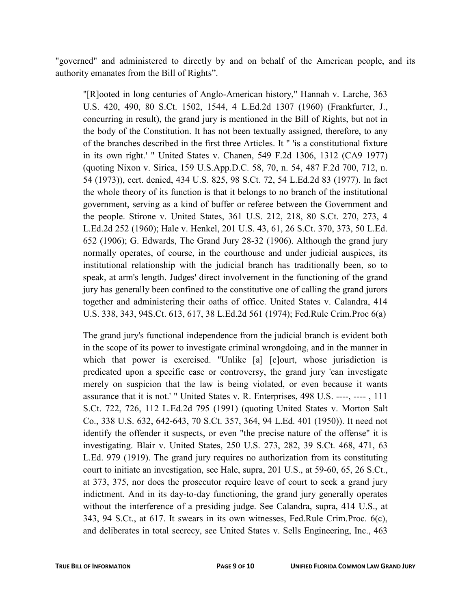"governed" and administered to directly by and on behalf of the American people, and its authority emanates from the Bill of Rights".

"[R]ooted in long centuries of Anglo-American history," Hannah v. Larche, 363 U.S. 420, 490, 80 S.Ct. 1502, 1544, 4 L.Ed.2d 1307 (1960) (Frankfurter, J., concurring in result), the grand jury is mentioned in the Bill of Rights, but not in the body of the Constitution. It has not been textually assigned, therefore, to any of the branches described in the first three Articles. It " 'is a constitutional fixture in its own right.' " United States v. Chanen, 549 F.2d 1306, 1312 (CA9 1977) (quoting Nixon v. Sirica, 159 U.S.App.D.C. 58, 70, n. 54, 487 F.2d 700, 712, n. 54 (1973)), cert. denied, 434 U.S. 825, 98 S.Ct. 72, 54 L.Ed.2d 83 (1977). In fact the whole theory of its function is that it belongs to no branch of the institutional government, serving as a kind of buffer or referee between the Government and the people. Stirone v. United States, 361 U.S. 212, 218, 80 S.Ct. 270, 273, 4 L.Ed.2d 252 (1960); Hale v. Henkel, 201 U.S. 43, 61, 26 S.Ct. 370, 373, 50 L.Ed. 652 (1906); G. Edwards, The Grand Jury 28-32 (1906). Although the grand jury normally operates, of course, in the courthouse and under judicial auspices, its institutional relationship with the judicial branch has traditionally been, so to speak, at arm's length. Judges' direct involvement in the functioning of the grand jury has generally been confined to the constitutive one of calling the grand jurors together and administering their oaths of office. United States v. Calandra, 414 U.S. 338, 343, 94S.Ct. 613, 617, 38 L.Ed.2d 561 (1974); Fed.Rule Crim.Proc 6(a)

The grand jury's functional independence from the judicial branch is evident both in the scope of its power to investigate criminal wrongdoing, and in the manner in which that power is exercised. "Unlike [a] [c]ourt, whose jurisdiction is predicated upon a specific case or controversy, the grand jury 'can investigate merely on suspicion that the law is being violated, or even because it wants assurance that it is not.' " United States v. R. Enterprises, 498 U.S. ----, ---- , 111 S.Ct. 722, 726, 112 L.Ed.2d 795 (1991) (quoting United States v. Morton Salt Co., 338 U.S. 632, 642-643, 70 S.Ct. 357, 364, 94 L.Ed. 401 (1950)). It need not identify the offender it suspects, or even "the precise nature of the offense" it is investigating. Blair v. United States, 250 U.S. 273, 282, 39 S.Ct. 468, 471, 63 L.Ed. 979 (1919). The grand jury requires no authorization from its constituting court to initiate an investigation, see Hale, supra, 201 U.S., at 59-60, 65, 26 S.Ct., at 373, 375, nor does the prosecutor require leave of court to seek a grand jury indictment. And in its day-to-day functioning, the grand jury generally operates without the interference of a presiding judge. See Calandra, supra, 414 U.S., at 343, 94 S.Ct., at 617. It swears in its own witnesses, Fed.Rule Crim.Proc. 6(c), and deliberates in total secrecy, see United States v. Sells Engineering, Inc., 463